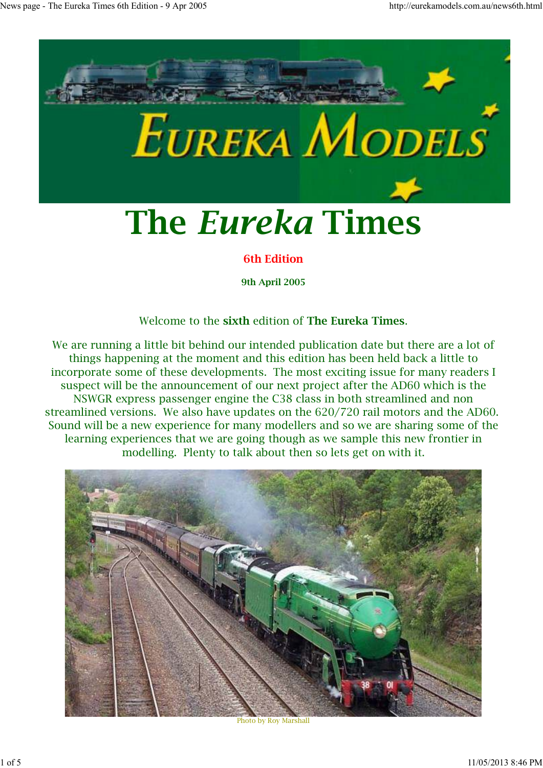

**6th Edition**

**9th April 2005**

#### Welcome to the **sixth** edition of **The Eureka Times**.

We are running a little bit behind our intended publication date but there are a lot of things happening at the moment and this edition has been held back a little to incorporate some of these developments. The most exciting issue for many readers I suspect will be the announcement of our next project after the AD60 which is the NSWGR express passenger engine the C38 class in both streamlined and non streamlined versions. We also have updates on the 620/720 rail motors and the AD60. Sound will be a new experience for many modellers and so we are sharing some of the learning experiences that we are going though as we sample this new frontier in modelling. Plenty to talk about then so lets get on with it.



Photo by Roy Marshall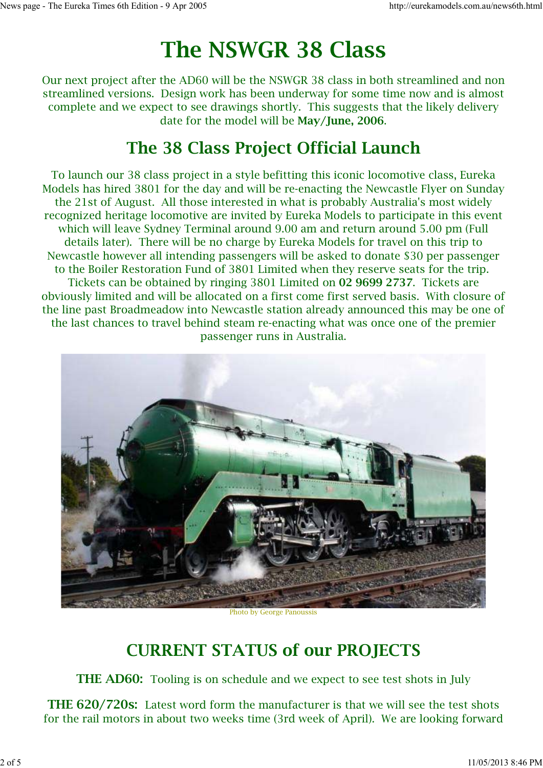# **The NSWGR 38 Class**

Our next project after the AD60 will be the NSWGR 38 class in both streamlined and non streamlined versions. Design work has been underway for some time now and is almost complete and we expect to see drawings shortly. This suggests that the likely delivery date for the model will be **May/June, 2006**.

#### **The 38 Class Project Official Launch**

To launch our 38 class project in a style befitting this iconic locomotive class, Eureka Models has hired 3801 for the day and will be re-enacting the Newcastle Flyer on Sunday the 21st of August. All those interested in what is probably Australia's most widely recognized heritage locomotive are invited by Eureka Models to participate in this event which will leave Sydney Terminal around 9.00 am and return around 5.00 pm (Full details later). There will be no charge by Eureka Models for travel on this trip to Newcastle however all intending passengers will be asked to donate \$30 per passenger to the Boiler Restoration Fund of 3801 Limited when they reserve seats for the trip. Tickets can be obtained by ringing 3801 Limited on **02 9699 2737**. Tickets are obviously limited and will be allocated on a first come first served basis. With closure of the line past Broadmeadow into Newcastle station already announced this may be one of the last chances to travel behind steam re-enacting what was once one of the premier passenger runs in Australia.



Photo by George Panoussis

## **CURRENT STATUS of our PROJECTS**

**THE AD60:** Tooling is on schedule and we expect to see test shots in July

**THE 620/720s:** Latest word form the manufacturer is that we will see the test shots for the rail motors in about two weeks time (3rd week of April). We are looking forward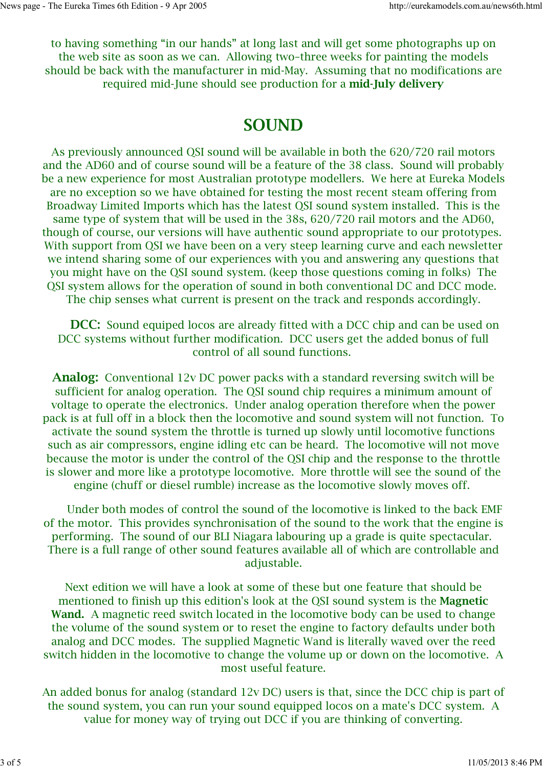to having something "in our hands" at long last and will get some photographs up on the web site as soon as we can. Allowing two–three weeks for painting the models should be back with the manufacturer in mid-May. Assuming that no modifications are required mid-June should see production for a **mid-July delivery**

#### **SOUND**

As previously announced QSI sound will be available in both the 620/720 rail motors and the AD60 and of course sound will be a feature of the 38 class. Sound will probably be a new experience for most Australian prototype modellers. We here at Eureka Models are no exception so we have obtained for testing the most recent steam offering from Broadway Limited Imports which has the latest QSI sound system installed. This is the same type of system that will be used in the 38s, 620/720 rail motors and the AD60, though of course, our versions will have authentic sound appropriate to our prototypes. With support from QSI we have been on a very steep learning curve and each newsletter we intend sharing some of our experiences with you and answering any questions that you might have on the QSI sound system. (keep those questions coming in folks) The QSI system allows for the operation of sound in both conventional DC and DCC mode. The chip senses what current is present on the track and responds accordingly.

**DCC:** Sound equiped locos are already fitted with a DCC chip and can be used on DCC systems without further modification. DCC users get the added bonus of full control of all sound functions.

**Analog:** Conventional 12v DC power packs with a standard reversing switch will be sufficient for analog operation. The QSI sound chip requires a minimum amount of voltage to operate the electronics. Under analog operation therefore when the power pack is at full off in a block then the locomotive and sound system will not function. To activate the sound system the throttle is turned up slowly until locomotive functions such as air compressors, engine idling etc can be heard. The locomotive will not move because the motor is under the control of the QSI chip and the response to the throttle is slower and more like a prototype locomotive. More throttle will see the sound of the engine (chuff or diesel rumble) increase as the locomotive slowly moves off.

 Under both modes of control the sound of the locomotive is linked to the back EMF of the motor. This provides synchronisation of the sound to the work that the engine is performing. The sound of our BLI Niagara labouring up a grade is quite spectacular. There is a full range of other sound features available all of which are controllable and adjustable.

Next edition we will have a look at some of these but one feature that should be mentioned to finish up this edition's look at the QSI sound system is the **Magnetic Wand.** A magnetic reed switch located in the locomotive body can be used to change the volume of the sound system or to reset the engine to factory defaults under both analog and DCC modes. The supplied Magnetic Wand is literally waved over the reed switch hidden in the locomotive to change the volume up or down on the locomotive. A most useful feature.

An added bonus for analog (standard 12v DC) users is that, since the DCC chip is part of the sound system, you can run your sound equipped locos on a mate's DCC system. A value for money way of trying out DCC if you are thinking of converting.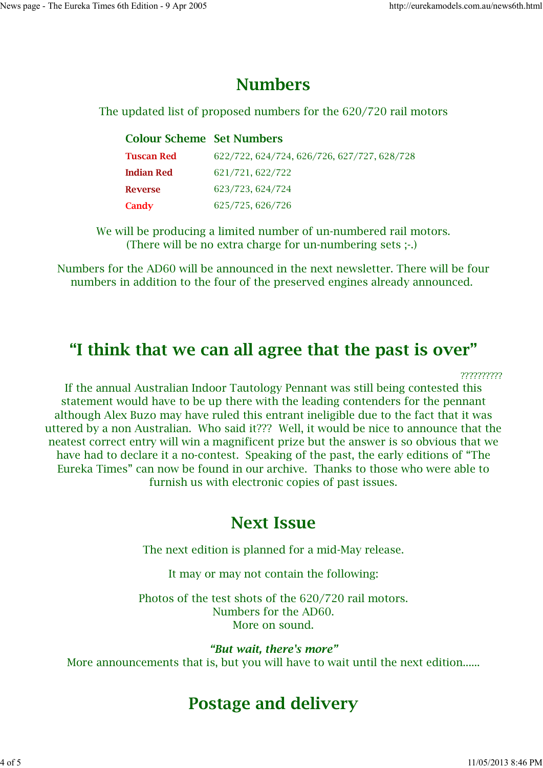#### **Numbers**

The updated list of proposed numbers for the 620/720 rail motors

| <b>Colour Scheme Set Numbers</b> |                                             |
|----------------------------------|---------------------------------------------|
| <b>Tuscan Red</b>                | 622/722, 624/724, 626/726, 627/727, 628/728 |
| <b>Indian Red</b>                | 621/721, 622/722                            |
| <b>Reverse</b>                   | 623/723, 624/724                            |
| Candy                            | 625/725, 626/726                            |

We will be producing a limited number of un-numbered rail motors. (There will be no extra charge for un-numbering sets ;-.)

Numbers for the AD60 will be announced in the next newsletter. There will be four numbers in addition to the four of the preserved engines already announced.

## **"I think that we can all agree that the past is over"**

??????????

If the annual Australian Indoor Tautology Pennant was still being contested this statement would have to be up there with the leading contenders for the pennant although Alex Buzo may have ruled this entrant ineligible due to the fact that it was uttered by a non Australian. Who said it??? Well, it would be nice to announce that the neatest correct entry will win a magnificent prize but the answer is so obvious that we have had to declare it a no-contest. Speaking of the past, the early editions of "The Eureka Times" can now be found in our archive. Thanks to those who were able to furnish us with electronic copies of past issues.

#### **Next Issue**

The next edition is planned for a mid-May release.

It may or may not contain the following:

Photos of the test shots of the 620/720 rail motors. Numbers for the AD60. More on sound.

*"But wait, there's more"* More announcements that is, but you will have to wait until the next edition......

## **Postage and delivery**